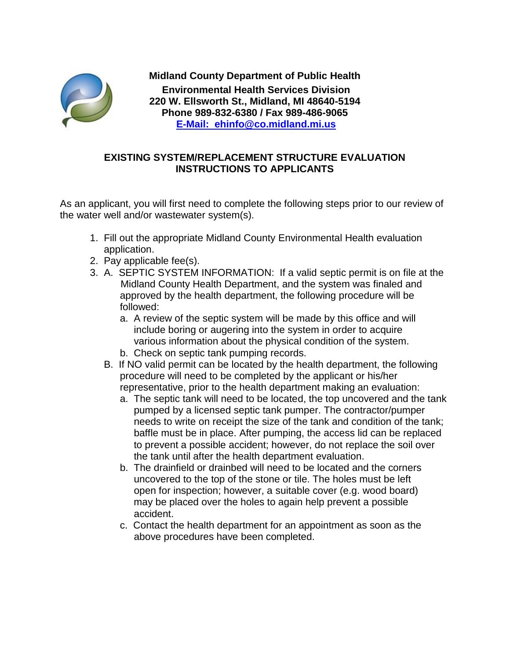

**Midland County Department of Public Health Environmental Health Services Division 220 W. Ellsworth St., Midland, MI 48640-5194 Phone 989-832-6380 / Fax 989-486-9065 E-Mail: ehinfo@co.midland.mi.us**

## **EXISTING SYSTEM/REPLACEMENT STRUCTURE EVALUATION INSTRUCTIONS TO APPLICANTS**

As an applicant, you will first need to complete the following steps prior to our review of the water well and/or wastewater system(s).

- 1. Fill out the appropriate Midland County Environmental Health evaluation application.
- 2. Pay applicable fee(s).
- 3. A. SEPTIC SYSTEM INFORMATION: If a valid septic permit is on file at the Midland County Health Department, and the system was finaled and approved by the health department, the following procedure will be followed:
	- a. A review of the septic system will be made by this office and will include boring or augering into the system in order to acquire various information about the physical condition of the system.
	- b. Check on septic tank pumping records.
	- B. If NO valid permit can be located by the health department, the following procedure will need to be completed by the applicant or his/her representative, prior to the health department making an evaluation:
		- a. The septic tank will need to be located, the top uncovered and the tank pumped by a licensed septic tank pumper. The contractor/pumper needs to write on receipt the size of the tank and condition of the tank; baffle must be in place. After pumping, the access lid can be replaced to prevent a possible accident; however, do not replace the soil over the tank until after the health department evaluation.
		- b. The drainfield or drainbed will need to be located and the corners uncovered to the top of the stone or tile. The holes must be left open for inspection; however, a suitable cover (e.g. wood board) may be placed over the holes to again help prevent a possible accident.
		- c. Contact the health department for an appointment as soon as the above procedures have been completed.